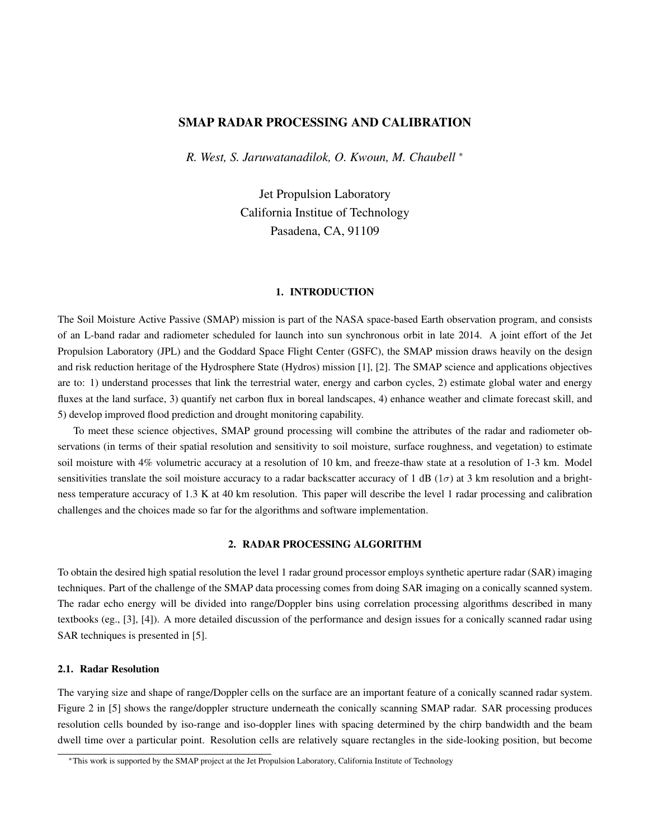# SMAP RADAR PROCESSING AND CALIBRATION

*R. West, S. Jaruwatanadilok, O. Kwoun, M. Chaubell* <sup>∗</sup>

Jet Propulsion Laboratory California Institue of Technology Pasadena, CA, 91109

### 1. INTRODUCTION

The Soil Moisture Active Passive (SMAP) mission is part of the NASA space-based Earth observation program, and consists of an L-band radar and radiometer scheduled for launch into sun synchronous orbit in late 2014. A joint effort of the Jet Propulsion Laboratory (JPL) and the Goddard Space Flight Center (GSFC), the SMAP mission draws heavily on the design and risk reduction heritage of the Hydrosphere State (Hydros) mission [1], [2]. The SMAP science and applications objectives are to: 1) understand processes that link the terrestrial water, energy and carbon cycles, 2) estimate global water and energy fluxes at the land surface, 3) quantify net carbon flux in boreal landscapes, 4) enhance weather and climate forecast skill, and 5) develop improved flood prediction and drought monitoring capability.

To meet these science objectives, SMAP ground processing will combine the attributes of the radar and radiometer observations (in terms of their spatial resolution and sensitivity to soil moisture, surface roughness, and vegetation) to estimate soil moisture with 4% volumetric accuracy at a resolution of 10 km, and freeze-thaw state at a resolution of 1-3 km. Model sensitivities translate the soil moisture accuracy to a radar backscatter accuracy of 1 dB ( $1\sigma$ ) at 3 km resolution and a brightness temperature accuracy of 1.3 K at 40 km resolution. This paper will describe the level 1 radar processing and calibration challenges and the choices made so far for the algorithms and software implementation.

## 2. RADAR PROCESSING ALGORITHM

To obtain the desired high spatial resolution the level 1 radar ground processor employs synthetic aperture radar (SAR) imaging techniques. Part of the challenge of the SMAP data processing comes from doing SAR imaging on a conically scanned system. The radar echo energy will be divided into range/Doppler bins using correlation processing algorithms described in many textbooks (eg., [3], [4]). A more detailed discussion of the performance and design issues for a conically scanned radar using SAR techniques is presented in [5].

### 2.1. Radar Resolution

The varying size and shape of range/Doppler cells on the surface are an important feature of a conically scanned radar system. Figure 2 in [5] shows the range/doppler structure underneath the conically scanning SMAP radar. SAR processing produces resolution cells bounded by iso-range and iso-doppler lines with spacing determined by the chirp bandwidth and the beam dwell time over a particular point. Resolution cells are relatively square rectangles in the side-looking position, but become

<sup>∗</sup>This work is supported by the SMAP project at the Jet Propulsion Laboratory, California Institute of Technology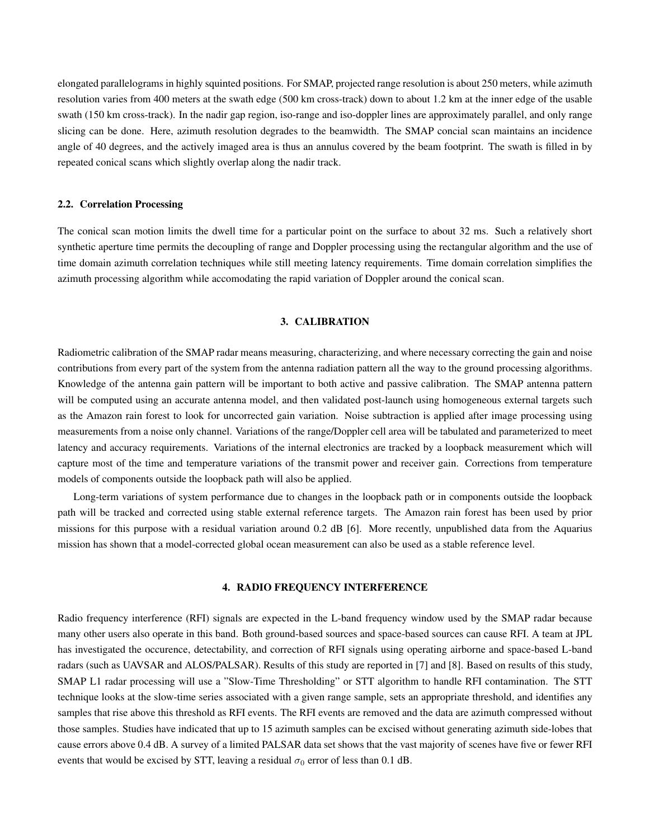elongated parallelograms in highly squinted positions. For SMAP, projected range resolution is about 250 meters, while azimuth resolution varies from 400 meters at the swath edge (500 km cross-track) down to about 1.2 km at the inner edge of the usable swath (150 km cross-track). In the nadir gap region, iso-range and iso-doppler lines are approximately parallel, and only range slicing can be done. Here, azimuth resolution degrades to the beamwidth. The SMAP concial scan maintains an incidence angle of 40 degrees, and the actively imaged area is thus an annulus covered by the beam footprint. The swath is filled in by repeated conical scans which slightly overlap along the nadir track.

### 2.2. Correlation Processing

The conical scan motion limits the dwell time for a particular point on the surface to about 32 ms. Such a relatively short synthetic aperture time permits the decoupling of range and Doppler processing using the rectangular algorithm and the use of time domain azimuth correlation techniques while still meeting latency requirements. Time domain correlation simplifies the azimuth processing algorithm while accomodating the rapid variation of Doppler around the conical scan.

## 3. CALIBRATION

Radiometric calibration of the SMAP radar means measuring, characterizing, and where necessary correcting the gain and noise contributions from every part of the system from the antenna radiation pattern all the way to the ground processing algorithms. Knowledge of the antenna gain pattern will be important to both active and passive calibration. The SMAP antenna pattern will be computed using an accurate antenna model, and then validated post-launch using homogeneous external targets such as the Amazon rain forest to look for uncorrected gain variation. Noise subtraction is applied after image processing using measurements from a noise only channel. Variations of the range/Doppler cell area will be tabulated and parameterized to meet latency and accuracy requirements. Variations of the internal electronics are tracked by a loopback measurement which will capture most of the time and temperature variations of the transmit power and receiver gain. Corrections from temperature models of components outside the loopback path will also be applied.

Long-term variations of system performance due to changes in the loopback path or in components outside the loopback path will be tracked and corrected using stable external reference targets. The Amazon rain forest has been used by prior missions for this purpose with a residual variation around 0.2 dB [6]. More recently, unpublished data from the Aquarius mission has shown that a model-corrected global ocean measurement can also be used as a stable reference level.

### 4. RADIO FREQUENCY INTERFERENCE

Radio frequency interference (RFI) signals are expected in the L-band frequency window used by the SMAP radar because many other users also operate in this band. Both ground-based sources and space-based sources can cause RFI. A team at JPL has investigated the occurence, detectability, and correction of RFI signals using operating airborne and space-based L-band radars (such as UAVSAR and ALOS/PALSAR). Results of this study are reported in [7] and [8]. Based on results of this study, SMAP L1 radar processing will use a "Slow-Time Thresholding" or STT algorithm to handle RFI contamination. The STT technique looks at the slow-time series associated with a given range sample, sets an appropriate threshold, and identifies any samples that rise above this threshold as RFI events. The RFI events are removed and the data are azimuth compressed without those samples. Studies have indicated that up to 15 azimuth samples can be excised without generating azimuth side-lobes that cause errors above 0.4 dB. A survey of a limited PALSAR data set shows that the vast majority of scenes have five or fewer RFI events that would be excised by STT, leaving a residual  $\sigma_0$  error of less than 0.1 dB.